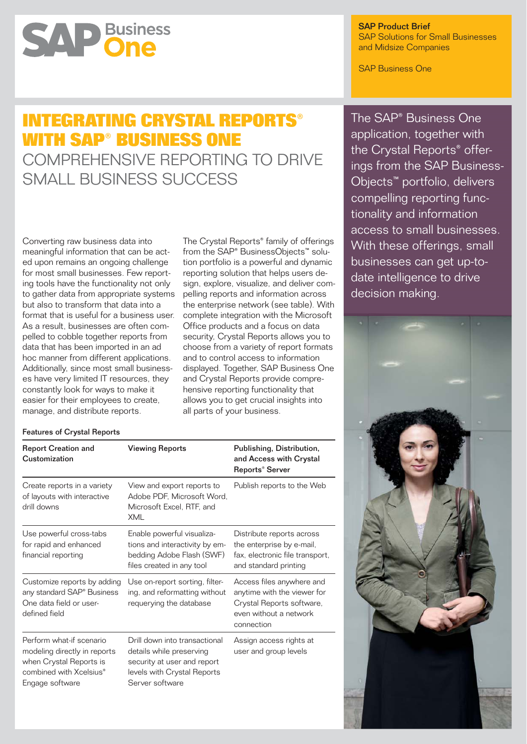# **SAP Business**

# SAP Product Brief SAP Solutions for Small Businesses and Midsize Companies

SAP Business One

# **INTEGRATING CRYSTAL REPORTS® WITH SAP® BUSINESS ONE**

COMPREHENSIVE REPORTING TO DRIVE SMALL BUSINESS SUCCESS

Converting raw business data into meaningful information that can be acted upon remains an ongoing challenge for most small businesses. Few reporting tools have the functionality not only to gather data from appropriate systems but also to transform that data into a format that is useful for a business user. As a result, businesses are often compelled to cobble together reports from data that has been imported in an ad hoc manner from different applications. Additionally, since most small businesses have very limited IT resources, they constantly look for ways to make it easier for their employees to create, manage, and distribute reports.

The Crystal Reports® family of offerings from the SAP® BusinessObjects™ solution portfolio is a powerful and dynamic reporting solution that helps users design, explore, visualize, and deliver compelling reports and information across the enterprise network (see table). With complete integration with the Microsoft Office products and a focus on data security, Crystal Reports allows you to choose from a variety of report formats and to control access to information displayed. Together, SAP Business One and Crystal Reports provide comprehensive reporting functionality that allows you to get crucial insights into all parts of your business.

| <b>Features of Crystal Reports</b> |  |  |
|------------------------------------|--|--|
|------------------------------------|--|--|

| <b>Report Creation and</b><br>Customization                                                                                                   | <b>Viewing Reports</b>                                                                                                                     | Publishing, Distribution,<br>and Access with Crystal<br>Reports <sup>®</sup> Server                                           |
|-----------------------------------------------------------------------------------------------------------------------------------------------|--------------------------------------------------------------------------------------------------------------------------------------------|-------------------------------------------------------------------------------------------------------------------------------|
| Create reports in a variety<br>of layouts with interactive<br>drill downs                                                                     | View and export reports to<br>Adobe PDF, Microsoft Word,<br>Microsoft Excel, RTF, and<br>XML                                               | Publish reports to the Web                                                                                                    |
| Use powerful cross-tabs<br>for rapid and enhanced<br>financial reporting                                                                      | Enable powerful visualiza-<br>tions and interactivity by em-<br>bedding Adobe Flash (SWF)<br>files created in any tool                     | Distribute reports across<br>the enterprise by e-mail,<br>fax, electronic file transport,<br>and standard printing            |
| Customize reports by adding<br>any standard SAP <sup>®</sup> Business<br>One data field or user-<br>defined field                             | Use on-report sorting, filter-<br>ing, and reformatting without<br>requerying the database                                                 | Access files anywhere and<br>anytime with the viewer for<br>Crystal Reports software,<br>even without a network<br>connection |
| Perform what-if scenario<br>modeling directly in reports<br>when Crystal Reports is<br>combined with Xcelsius <sup>®</sup><br>Engage software | Drill down into transactional<br>details while preserving<br>security at user and report<br>levels with Crystal Reports<br>Server software | Assign access rights at<br>user and group levels                                                                              |

The SAP® Business One application, together with the Crystal Reports® offerings from the SAP Business-Objects™ portfolio, delivers compelling reporting functionality and information access to small businesses. With these offerings, small businesses can get up-todate intelligence to drive decision making.

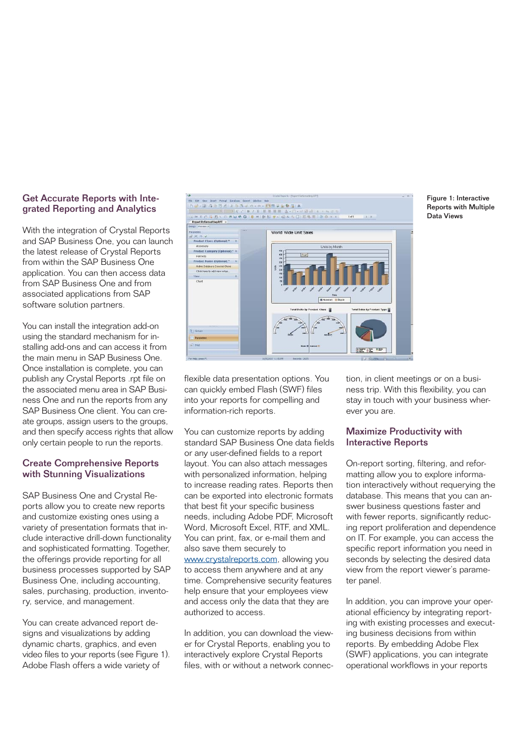# Get Accurate Reports with Integrated Reporting and Analytics

With the integration of Crystal Reports and SAP Business One, you can launch the latest release of Crystal Reports from within the SAP Business One application. You can then access data from SAP Business One and from associated applications from SAP software solution partners.

You can install the integration add-on using the standard mechanism for installing add-ons and can access it from the main menu in SAP Business One. Once installation is complete, you can publish any Crystal Reports .rpt file on the associated menu area in SAP Business One and run the reports from any SAP Business One client. You can create groups, assign users to the groups. and then specify access rights that allow only certain people to run the reports.

# Create Comprehensive Reports with Stunning Visualizations

SAP Business One and Crystal Reports allow you to create new reports and customize existing ones using a variety of presentation formats that include interactive drill-down functionality and sophisticated formatting. Together, the offerings provide reporting for all business processes supported by SAP Business One, including accounting, sales, purchasing, production, inventory, service, and management.

You can create advanced report designs and visualizations by adding dynamic charts, graphics, and even video files to your reports (see Figure 1). Adobe Flash offers a wide variety of



flexible data presentation options. You can quickly embed Flash (SWF) files into your reports for compelling and information-rich reports.

You can customize reports by adding standard SAP Business One data fields or any user-defined fields to a report layout. You can also attach messages with personalized information, helping to increase reading rates. Reports then can be exported into electronic formats that best fit your specific business needs, including Adobe PDF, Microsoft Word, Microsoft Excel, RTF, and XML. You can print, fax, or e-mail them and also save them securely to www.crystalreports.com, allowing you

to access them anywhere and at any time. Comprehensive security features help ensure that your employees view and access only the data that they are authorized to access.

In addition, you can download the viewer for Crystal Reports, enabling you to interactively explore Crystal Reports files, with or without a network connec-

Figure 1: Interactive Reports with Multiple

Data Views

tion, in client meetings or on a business trip. With this flexibility, you can stay in touch with your business wherever you are.

# Maximize Productivity with Interactive Reports

On-report sorting, filtering, and reformatting allow you to explore information interactively without requerying the database. This means that you can answer business questions faster and with fewer reports, significantly reducing report proliferation and dependence on IT. For example, you can access the specific report information you need in seconds by selecting the desired data view from the report viewer's parameter panel.

In addition, you can improve your operational efficiency by integrating reporting with existing processes and executing business decisions from within reports. By embedding Adobe Flex (SWF) applications, you can integrate operational workflows in your reports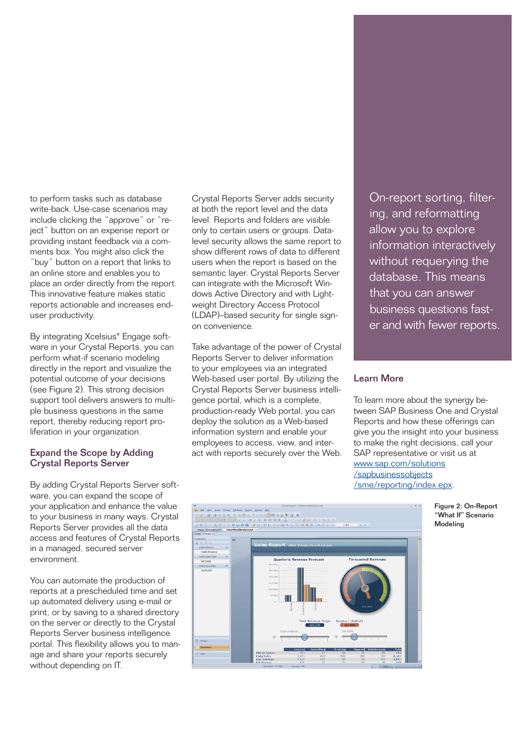to perform tasks such as database write-back. Use-case scenarios may include clicking the "approve" or "reject" button on an expense report or providing instant feedback via a comments box. You might also click the "buy" button on a report that links to an online store and enables you to place an order directly from the report. This innovative feature makes static reports actionable and increases enduser productivity.

By integrating Xcelsius<sup>®</sup> Engage software in your Crystal Reports, you can perform what-if scenario modeling directly in the report and visualize the potential outcome of your decisions (see Figure 2). This strong decision support tool delivers answers to multiple business questions in the same report, thereby reducing report proliferation in your organization.

# Expand the Scope by Adding Crystal Reports Server

By adding Crystal Reports Server software, you can expand the scope of your application and enhance the value to your business in many ways. Crystal Reports Server provides all the data access and features of Crystal Reports in a managed, secured server environment.

You can automate the production of reports at a prescheduled time and set up automated delivery using e-mail or print, or by saving to a shared directory on the server or directly to the Crystal Reports Server business intelligence portal. This flexibility allows you to manage and share your reports securely without depending on IT.

Crystal Reports Server adds security at both the report level and the data level. Reports and folders are visible only to certain users or groups. Datalevel security allows the same report to show different rows of data to different users when the report is based on the semantic layer. Crystal Reports Server can integrate with the Microsoft Windows Active Directory and with Lightweight Directory Access Protocol (LDAP)–based security for single signon convenience.

Take advantage of the power of Crystal Reports Server to deliver information to your employees via an integrated Web-based user portal. By utilizing the Crystal Reports Server business intelligence portal, which is a complete, production-ready Web portal, you can deploy the solution as a Web-based information system and enable your employees to access, view, and interact with reports securely over the Web.

On-report sorting, filtering, and reformatting allow you to explore information interactively without requerying the database. This means that you can answer business questions faster and with fewer reports.

# Learn More

To learn more about the synergy between SAP Business One and Crystal Reports and how these offerings can give you the insight into your business to make the right decisions, call your SAP representative or visit us at www.sap.com/solutions /sapbusiness objects /sme/reporting/index.epx.



Figure 2: On-Report "What If" Scenario Modeling